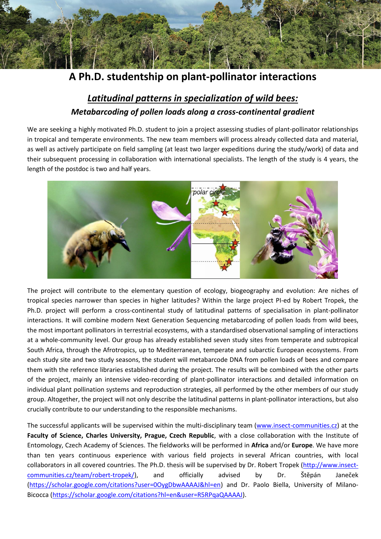

**A Ph.D. studentship on plant-pollinator interactions**

## *Latitudinal patterns in specialization of wild bees: Metabarcoding of pollen loads along a cross-continental gradient*

We are seeking a highly motivated Ph.D. student to join a project assessing studies of plant-pollinator relationships in tropical and temperate environments. The new team members will process already collected data and material, as well as actively participate on field sampling (at least two larger expeditions during the study/work) of data and their subsequent processing in collaboration with international specialists. The length of the study is 4 years, the length of the postdoc is two and half years.



The project will contribute to the elementary question of ecology, biogeography and evolution: Are niches of tropical species narrower than species in higher latitudes? Within the large project PI-ed by Robert Tropek, the Ph.D. project will perform a cross-continental study of latitudinal patterns of specialisation in plant-pollinator interactions. It will combine modern Next Generation Sequencing metabarcoding of pollen loads from wild bees, the most important pollinators in terrestrial ecosystems, with a standardised observational sampling of interactions at a whole-community level. Our group has already established seven study sites from temperate and subtropical South Africa, through the Afrotropics, up to Mediterranean, temperate and subarctic European ecosystems. From each study site and two study seasons, the student will metabarcode DNA from pollen loads of bees and compare them with the reference libraries established during the project. The results will be combined with the other parts of the project, mainly an intensive video-recording of plant-pollinator interactions and detailed information on individual plant pollination systems and reproduction strategies, all performed by the other members of our study group. Altogether, the project will not only describe the latitudinal patterns in plant-pollinator interactions, but also crucially contribute to our understanding to the responsible mechanisms.

The successful applicants will be supervised within the multi-disciplinary team [\(www.insect-communities.cz\)](http://www.insect-communities.cz/) at the **Faculty of Science, Charles University, Prague, Czech Republic**, with a close collaboration with the Institute of Entomology, Czech Academy of Sciences. The fieldworks will be performed in **Africa** and/or **Europe**. We have more than ten years continuous experience with various field projects in several African countries, with local collaborators in all covered countries. The Ph.D. thesis will be supervised by Dr. Robert Tropek [\(http://www.insect](http://www.insect-communities.cz/team/robert-tropek/)[communities.cz/team/robert-tropek/\)](http://www.insect-communities.cz/team/robert-tropek/), and officially advised by Dr. Štěpán Janeček [\(https://scholar.google.com/citations?user=0OygDbwAAAAJ&hl=en\)](https://scholar.google.com/citations?user=0OygDbwAAAAJ&hl=en) and Dr. Paolo Biella, University of Milano-Bicocca [\(https://scholar.google.com/citations?hl=en&user=R5RPqaQAAAAJ\)](https://scholar.google.com/citations?hl=en&user=R5RPqaQAAAAJ).